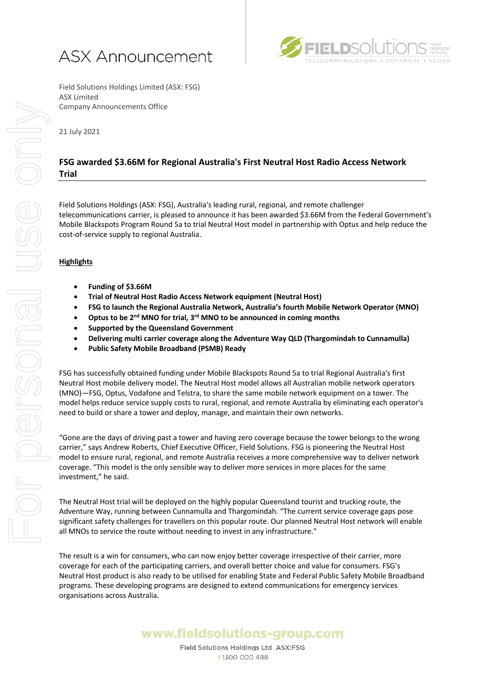



Field Solutions Holdings Limited (ASX: FSG) ASX Limited Company Announcements Office

21 July 2021

## **FSG awarded \$3.66M for Regional Australia's First Neutral Host Radio Access Network Trial**

Field Solutions Holdings (ASX: FSG), Australia's leading rural, regional, and remote challenger telecommunications carrier, is pleased to announce it has been awarded \$3.66M from the Federal Government's Mobile Blackspots Program Round 5a to trial Neutral Host model in partnership with Optus and help reduce the cost-of-service supply to regional Australia.

## **Highlights**

- **Funding of \$3.66M**
- **Trial of Neutral Host Radio Access Network equipment (Neutral Host)**
- **FSG to launch the Regional Australia Network, Australia's fourth Mobile Network Operator (MNO)**
- **Optus to be 2nd MNO for trial, 3rd MNO to be announced in coming months**
- **Supported by the Queensland Government**
- **Delivering multi carrier coverage along the Adventure Way QLD (Thargomindah to Cunnamulla)**
- **Public Safety Mobile Broadband (PSMB) Ready**

FSG has successfully obtained funding under Mobile Blackspots Round 5a to trial Regional Australia's first Neutral Host mobile delivery model. The Neutral Host model allows all Australian mobile network operators (MNO)—FSG, Optus, Vodafone and Telstra, to share the same mobile network equipment on a tower. The model helps reduce service supply costs to rural, regional, and remote Australia by eliminating each operator's need to build or share a tower and deploy, manage, and maintain their own networks.

"Gone are the days of driving past a tower and having zero coverage because the tower belongs to the wrong carrier," says Andrew Roberts, Chief Executive Officer, Field Solutions. FSG is pioneering the Neutral Host model to ensure rural, regional, and remote Australia receives a more comprehensive way to deliver network coverage. "This model is the only sensible way to deliver more services in more places for the same investment," he said.

The Neutral Host trial will be deployed on the highly popular Queensland tourist and trucking route, the Adventure Way, running between Cunnamulla and Thargomindah. "The current service coverage gaps pose significant safety challenges for travellers on this popular route. Our planned Neutral Host network will enable all MNOs to service the route without needing to invest in any infrastructure."

The result is a win for consumers, who can now enjoy better coverage irrespective of their carrier, more coverage for each of the participating carriers, and overall better choice and value for consumers. FSG's Neutral Host product is also ready to be utilised for enabling State and Federal Public Safety Mobile Broadband programs. These developing programs are designed to extend communications for emergency services organisations across Australia.

## www.fieldsolutions-group.com

Field Solutions Holdings Ltd ASX:FSG t 1300 000 488